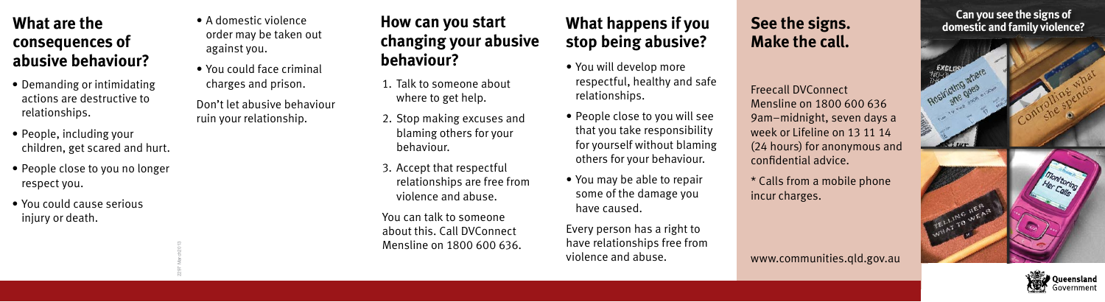## **What are the consequences of abusive behaviour?**

- Demanding or intimidating actions are destructive to relationships.
- People, including your children, get scared and hurt.
- People close to you no longer respect you.

2297 March2013

• You could cause serious injury or death.

- A domestic violence order may be taken out against you.
- You could face criminal charges and prison.
- Don't let abusive behaviour ruin your relationship.
- **How can you start changing your abusive behaviour?** • You will develop more
- 1. Talk to someone about where to get help.
- 2. Stop making excuses and blaming others for your behaviour.
- 3. Accept that respectful relationships are free from violence and abuse.
- You can talk to someone about this. Call DVConnect Mensline on 1800 600 636.

# **What happens if you stop being abusive?**

- respectful, healthy and safe relationships.
- People close to you will see that you take responsibility for yourself without blaming others for your behaviour.
- You may be able to repair some of the damage you have caused.

Every person has a right to have relationships free from violence and abuse.

#### **See the signs. Make the call.**

Freecall DVConnect Mensline on 1800 600 636 9am–midnight, seven days a week or Lifeline on 13 11 14 (24 hours) for anonymous and confidential advice.

\* Calls from a mobile phone incur charges.

www.communities.qld.gov.au

**It's domestic and family violence?**<br> **It's your property** *right***o where Can you see the signs of** 

**sh she soon** of